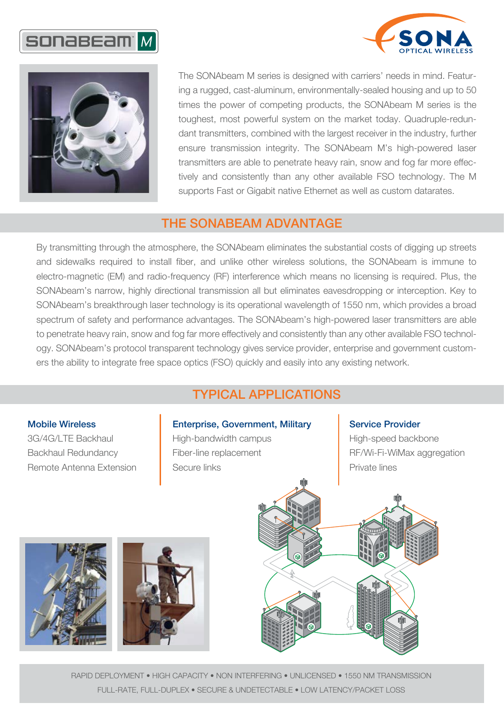





The SONAbeam M series is designed with carriers' needs in mind. Featuring a rugged, cast-aluminum, environmentally-sealed housing and up to 50 times the power of competing products, the SONAbeam M series is the toughest, most powerful system on the market today. Quadruple-redundant transmitters, combined with the largest receiver in the industry, further ensure transmission integrity. The SONAbeam M's high-powered laser transmitters are able to penetrate heavy rain, snow and fog far more effectively and consistently than any other available FSO technology. The M supports Fast or Gigabit native Ethernet as well as custom datarates.

## THE SONABEAM ADVANTAGE

By transmitting through the atmosphere, the SONAbeam eliminates the substantial costs of digging up streets and sidewalks required to install fiber, and unlike other wireless solutions, the SONAbeam is immune to electro-magnetic (EM) and radio-frequency (RF) interference which means no licensing is required. Plus, the SONAbeam's narrow, highly directional transmission all but eliminates eavesdropping or interception. Key to SONAbeam's breakthrough laser technology is its operational wavelength of 1550 nm, which provides a broad spectrum of safety and performance advantages. The SONAbeam's high-powered laser transmitters are able to penetrate heavy rain, snow and fog far more effectively and consistently than any other available FSO technology. SONAbeam's protocol transparent technology gives service provider, enterprise and government customers the ability to integrate free space optics (FSO) quickly and easily into any existing network.

# TYPICAL APPLICATIONS

#### Mobile Wireless

3G/4G/LTE Backhaul Backhaul Redundancy Remote Antenna Extension

### Enterprise, Government, Military

High-bandwidth campus Fiber-line replacement Secure links

#### Service Provider

High-speed backbone RF/Wi-Fi-WiMax aggregation Private lines







RAPID DEPLOYMENT • HIGH CAPACITY • NON INTERFERING • UNLICENSED • 1550 NM TRANSMISSION FULL-RATE, FULL-DUPLEX • SECURE & UNDETECTABLE • LOW LATENCY/PACKET LOSS